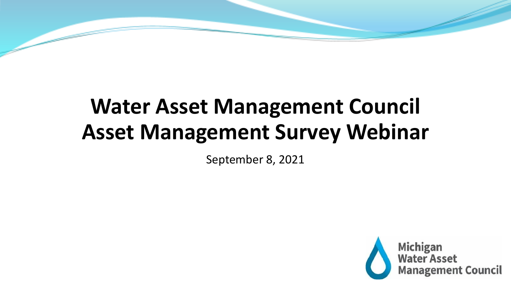# **Water Asset Management Council Asset Management Survey Webinar**

September 8, 2021

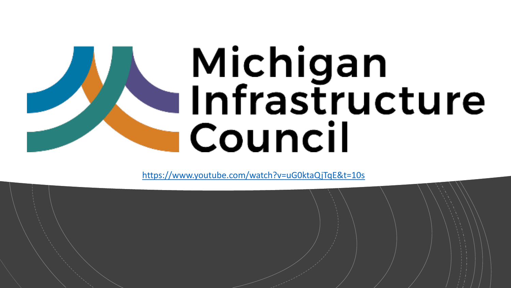# Michigan<br>Infrastructure Council

<https://www.youtube.com/watch?v=uG0ktaQjTqE&t=10s>

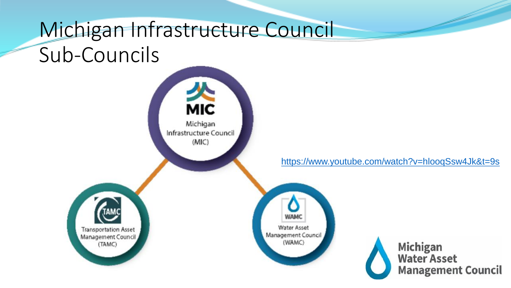# Michigan Infrastructure Council Sub-Councils

**MIC** Michigan Infrastructure Council  $(MIC)$ **Transportation Asset** Management Council Management Council (TAMC)

[https://www.youtube.com/watch?v=hlooqSsw4Jk&t=9s](https://gcc02.safelinks.protection.outlook.com/?url=https%3A%2F%2Fwww.youtube.com%2Fwatch%3Fv%3DhlooqSsw4Jk%26t%3D9s&data=04%7C01%7CTOMLINSONM%40michigan.gov%7Cd3ddab20ca2b4aa5b84408d96d716d3d%7Cd5fb7087377742ad966a892ef47225d1%7C0%7C0%7C637661156204243199%7CUnknown%7CTWFpbGZsb3d8eyJWIjoiMC4wLjAwMDAiLCJQIjoiV2luMzIiLCJBTiI6Ik1haWwiLCJXVCI6Mn0%3D%7C1000&sdata=aPBnRq%2B7Ip7M4Pv4g8yGGBWDuOvlRYIWddPa0JkU6EM%3D&reserved=0)



**WAMC** 

**Water Asset** 

(WAMC)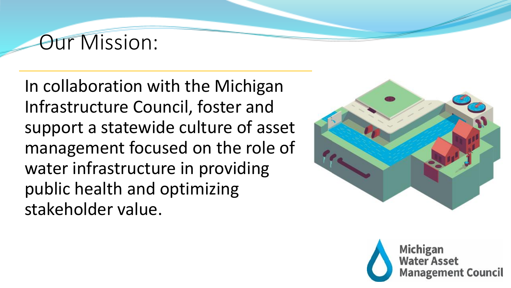# Our Mission:

In collaboration with the Michigan Infrastructure Council, foster and support a statewide culture of asset management focused on the role of water infrastructure in providing public health and optimizing stakeholder value.



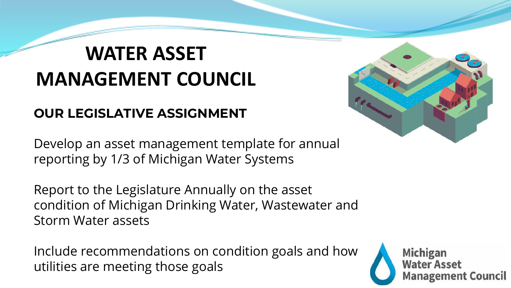# **WATER ASSET MANAGEMENT COUNCIL**

#### **OUR LEGISLATIVE ASSIGNMENT**

Develop an asset management template for annual reporting by 1/3 of Michigan Water Systems

Report to the Legislature Annually on the asset condition of Michigan Drinking Water, Wastewater and Storm Water assets

Include recommendations on condition goals and how utilities are meeting those goals



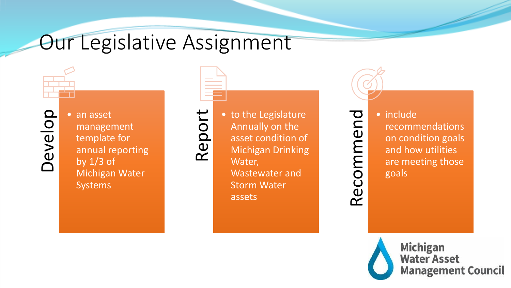# Our Legislative Assignment

Develop

• an asset management template for annual reporting by  $1/3$  of Michigan Water Systems



Report



• to the Legislature Annually on the asset condition of Michigan Drinking Wastewater and Storm Water assets

Recommend

• include recommendations on condition goals and how utilities are meeting those goals

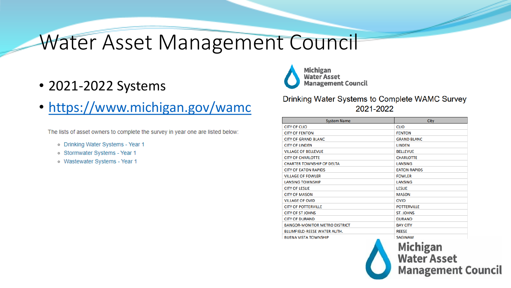# Water Asset Management Council

- 2021-2022 Systems
- <https://www.michigan.gov/wamc>

The lists of asset owners to complete the survey in year one are listed below:

- o Drinking Water Systems Year 1
- o Stormwater Systems Year 1
- o Wastewater Systems Year 1



**Management Council** 

Drinking Water Systems to Complete WAMC Survey 2021-2022

| <b>System Name</b>                   | City                |
|--------------------------------------|---------------------|
| <b>CITY OF CLIO</b>                  | <b>CLIO</b>         |
| <b>CITY OF FENTON</b>                | <b>FENTON</b>       |
| <b>CITY OF GRAND BLANC</b>           | <b>GRAND BLANC</b>  |
| <b>CITY OF LINDEN</b>                | <b>LINDEN</b>       |
| <b>VILLAGE OF BELLEVUE</b>           | <b>BELLEVUE</b>     |
| <b>CITY OF CHARLOTTE</b>             | <b>CHARLOTTE</b>    |
| <b>CHARTER TOWNSHIP OF DELTA</b>     | <b>LANSING</b>      |
| <b>CITY OF EATON RAPIDS</b>          | <b>EATON RAPIDS</b> |
| <b>VILLAGE OF FOWLER</b>             | <b>FOWLER</b>       |
| <b>LANSING TOWNSHIP</b>              | <b>LANSING</b>      |
| <b>CITY OF LESLIE</b>                | <b>LESLIE</b>       |
| <b>CITY OF MASON</b>                 | <b>MASON</b>        |
| <b>VILLAGE OF OVID</b>               | <b>OVID</b>         |
| <b>CITY OF POTTERVILLE</b>           | <b>POTTERVILLE</b>  |
| <b>CITY OF ST JOHNS</b>              | <b>ST. JOHNS</b>    |
| <b>CITY OF DURAND</b>                | <b>DURAND</b>       |
| <b>BANGOR-MONITOR METRO DISTRICT</b> | <b>BAY CITY</b>     |
| <b>BLUMFIELD-REESE WATER AUTH.</b>   | <b>REESE</b>        |
| <b>BUENA VISTA TOWNSHIP</b>          | <b>SAGINAW</b>      |
|                                      |                     |



**Water Asset Management Council**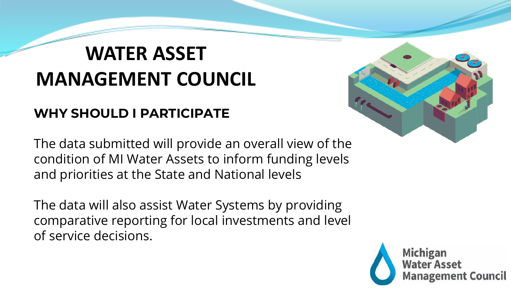# **WATER ASSET MANAGEMENT COUNCIL**

#### **WHY SHOULD I PARTICIPATE**

The data submitted will provide an overall view of the condition of MI Water Assets to inform funding levels and priorities at the State and National levels

The data will also assist Water Systems by providing comparative reporting for local investments and level of service decisions.



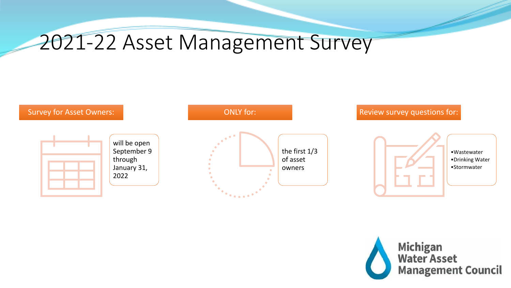# 2021-22 Asset Management Survey



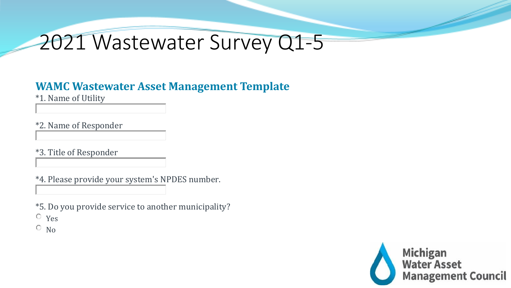#### **WAMC Wastewater Asset Management Template**

\*1. Name of Utility

\*2. Name of Responder

\*3. Title of Responder

\*4. Please provide your system's NPDES number.

\*5. Do you provide service to another municipality? Yes

 $\circ$  No

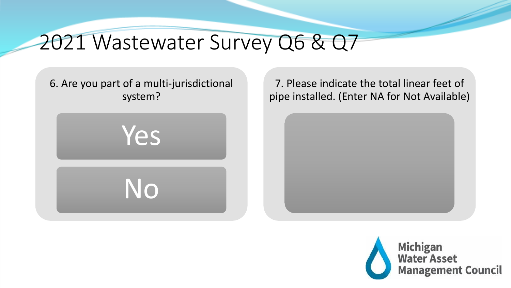# 2021 Wastewater Survey Q6 & Q7

6. Are you part of a multi-jurisdictional system?

Yes

No

7. Please indicate the total linear feet of pipe installed. (Enter NA for Not Available)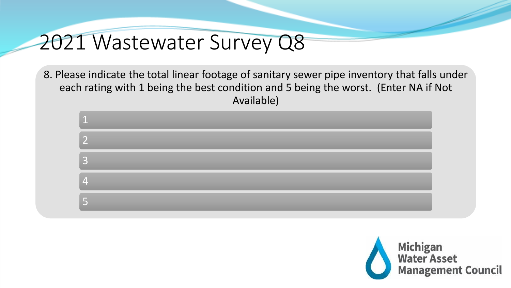8. Please indicate the total linear footage of sanitary sewer pipe inventory that falls under each rating with 1 being the best condition and 5 being the worst. (Enter NA if Not Available)



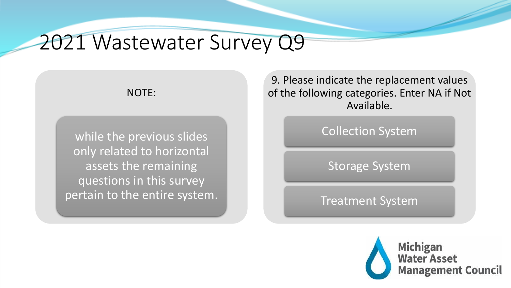#### NOTE:

while the previous slides only related to horizontal assets the remaining questions in this survey pertain to the entire system.

9. Please indicate the replacement values of the following categories. Enter NA if Not Available.

Collection System

Storage System

Treatment System

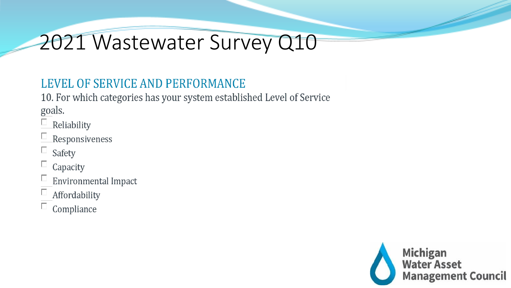#### LEVEL OF SERVICE AND PERFORMANCE

10. For which categories has your system established Level of Service goals.

- $\Box$  Reliability
- $\Box$  Responsiveness
- $\Box$  Safety
- $\Box$  Capacity
- $\Box$  Environmental Impact
- $\Box$  Affordability
- $\Box$  Compliance

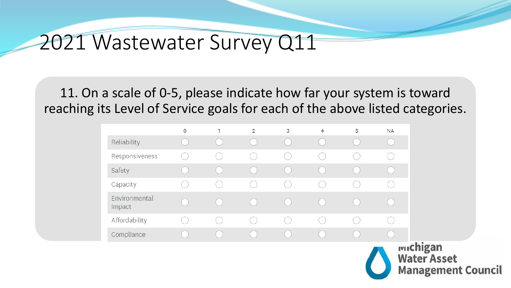11. On a scale of 0-5, please indicate how far your system is toward reaching its Level of Service goals for each of the above listed categories.

|                         | $\mathsf{o}$ | $\overline{2}$ | 3 | 4 | 5 | <b>NA</b>                       |
|-------------------------|--------------|----------------|---|---|---|---------------------------------|
| Reliability             |              |                |   |   |   |                                 |
| Responsiveness          |              |                |   |   |   |                                 |
| Safety                  |              |                |   |   |   |                                 |
| Capacity                |              |                |   |   |   |                                 |
| Environmental<br>Impact |              |                |   |   |   |                                 |
| Affordability           |              |                |   |   |   |                                 |
| Compliance              |              |                |   |   |   |                                 |
|                         |              |                |   |   |   | <b>wichigan</b><br><b>Water</b> |

**Management Council**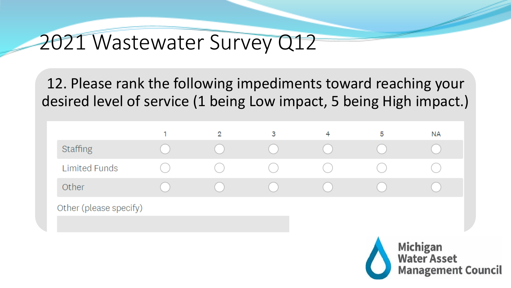12. Please rank the following impediments toward reaching your desired level of service (1 being Low impact, 5 being High impact.)

|                        | $\overline{2}$ | 3 | 4 | 5 | <b>NA</b>                       |
|------------------------|----------------|---|---|---|---------------------------------|
| <b>Staffing</b>        |                |   |   |   |                                 |
|                        |                |   |   |   |                                 |
| <b>Limited Funds</b>   |                |   |   |   |                                 |
| Other                  |                |   |   |   |                                 |
| Other (please specify) |                |   |   |   |                                 |
|                        |                |   |   |   |                                 |
|                        |                |   |   |   |                                 |
|                        |                |   |   |   | <b>Michigan<br/>Water Asset</b> |

**Management Council**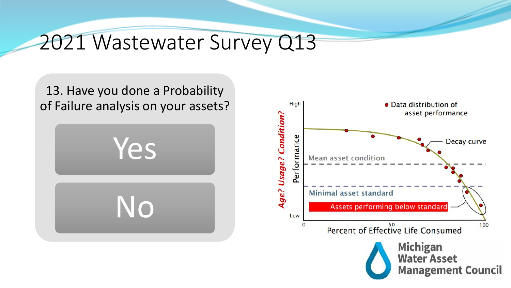13. Have you done a Probability of Failure analysis on your assets?



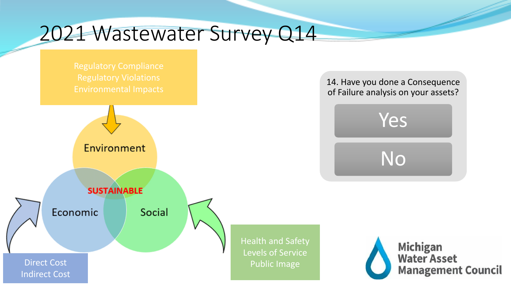Regulatory Compliance Regulatory Violations



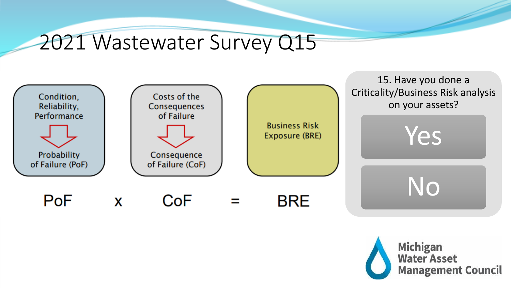

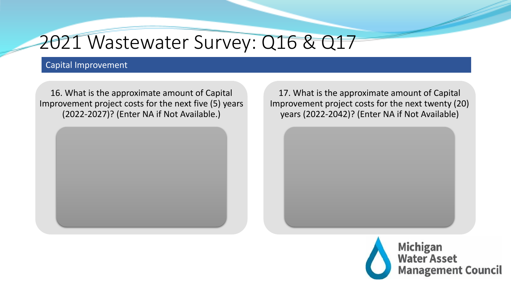#### 2021 Wastewater Survey: Q16 & Q17

#### Capital Improvement

16. What is the approximate amount of Capital Improvement project costs for the next five (5) years (2022-2027)? (Enter NA if Not Available.)



17. What is the approximate amount of Capital Improvement project costs for the next twenty (20) years (2022-2042)? (Enter NA if Not Available)

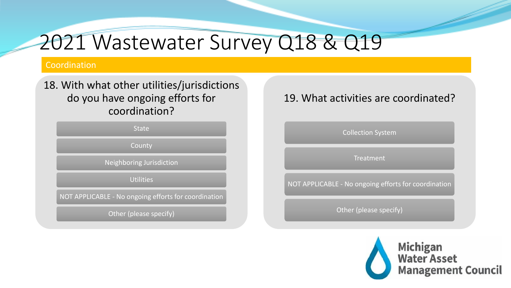# 2021 Wastewater Survey Q18 & Q19

#### Coordination

#### 18. With what other utilities/jurisdictions do you have ongoing efforts for coordination?

**State** 

County

Neighboring Jurisdiction

Utilities

NOT APPLICABLE - No ongoing efforts for coordination

Other (please specify)

#### 19. What activities are coordinated?

Collection System

**Treatment** 

NOT APPLICABLE - No ongoing efforts for coordination

Other (please specify)

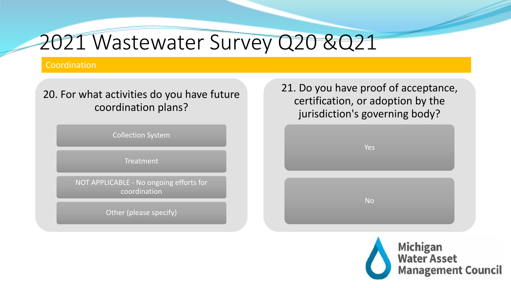# 2021 Wastewater Survey Q20 &Q21

#### Coordination

#### 20. For what activities do you have future coordination plans?

Collection System

Treatment

NOT APPLICABLE - No ongoing efforts for coordination

Other (please specify)

21. Do you have proof of acceptance, certification, or adoption by the jurisdiction's governing body?



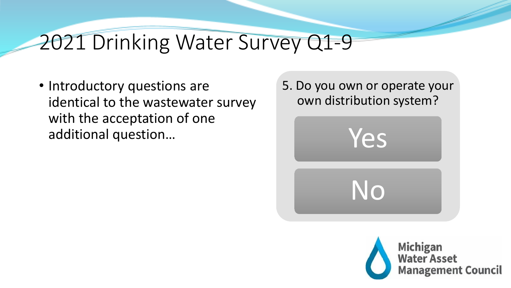# 2021 Drinking Water Survey Q1-9

• Introductory questions are identical to the wastewater survey with the acceptation of one additional question…



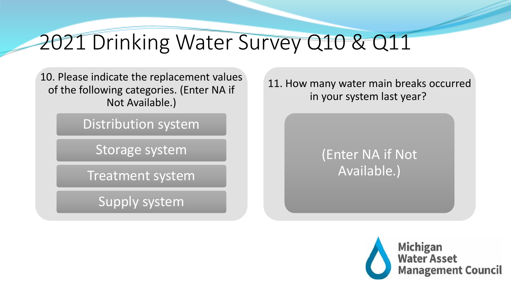# 2021 Drinking Water Survey Q10 & Q11

10. Please indicate the replacement values of the following categories. (Enter NA if Not Available.)

Distribution system

Storage system

Treatment system

Supply system

11. How many water main breaks occurred in your system last year?

#### (Enter NA if Not Available.)

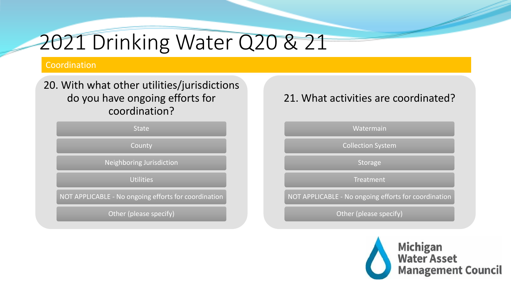# 2021 Drinking Water Q20 & 21

#### Coordination

#### 20. With what other utilities/jurisdictions do you have ongoing efforts for coordination?

**State** 

County

Neighboring Jurisdiction

**Utilities** 

NOT APPLICABLE - No ongoing efforts for coordination

Other (please specify)

#### 21. What activities are coordinated?



Other (please specify)

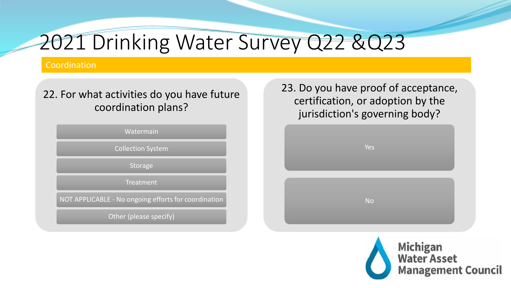# 2021 Drinking Water Survey Q22 &Q23

#### Coordination

#### 22. For what activities do you have future coordination plans?



NOT APPLICABLE - No ongoing efforts for coordination

Other (please specify)

23. Do you have proof of acceptance, certification, or adoption by the jurisdiction's governing body?



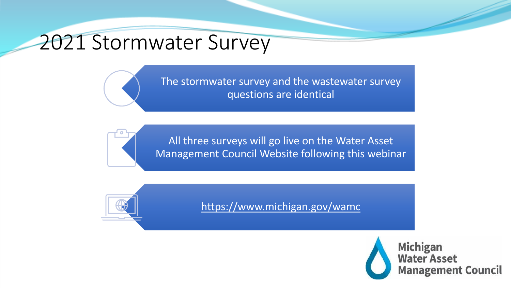### 2021 Stormwater Survey

The stormwater survey and the wastewater survey questions are identical

All three surveys will go live on the Water Asset Management Council Website following this webinar



<https://www.michigan.gov/wamc>

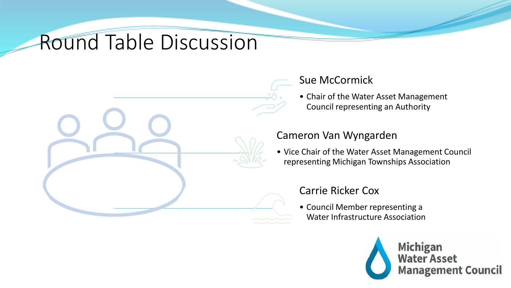# Round Table Discussion



#### Sue McCormick

• Chair of the Water Asset Management Council representing an Authority

#### Cameron Van Wyngarden

• Vice Chair of the Water Asset Management Council representing Michigan Townships Association

#### Carrie Ricker Cox

• Council Member representing a Water Infrastructure Association